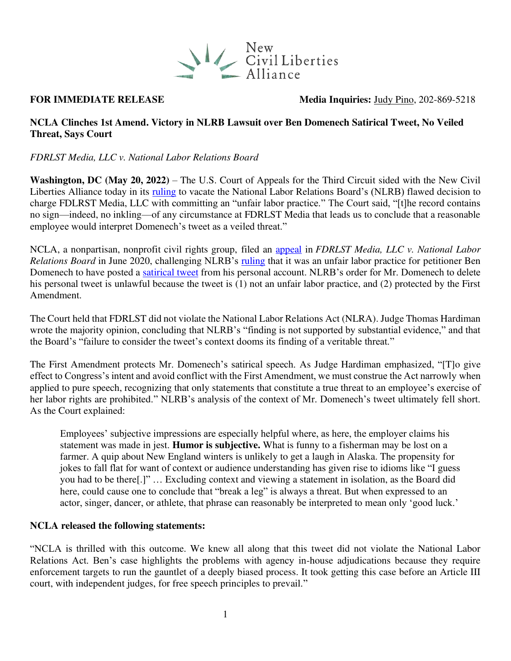

**FOR IMMEDIATE RELEASE** Media Inquiries: [Judy Pino,](mailto:judy.pino@ncla.legal) 202-869-5218

### **NCLA Clinches 1st Amend. Victory in NLRB Lawsuit over Ben Domenech Satirical Tweet, No Veiled Threat, Says Court**

*FDRLST Media, LLC v. National Labor Relations Board* 

**Washington, DC (May 20, 2022)** – The U.S. Court of Appeals for the Third Circuit sided with the New Civil Liberties Alliance today in its [ruling](https://nclalegal.org/wp-content/uploads/2022/05/Opinion-of-the-U.S.-Court-of-Appeals-for-the-Third-Circuit.pdf) to vacate the National Labor Relations Board's (NLRB) flawed decision to charge FDLRST Media, LLC with committing an "unfair labor practice." The Court said, "[t]he record contains no sign—indeed, no inkling—of any circumstance at FDRLST Media that leads us to conclude that a reasonable employee would interpret Domenech's tweet as a veiled threat."

NCLA, a nonpartisan, nonprofit civil rights group, filed an [appeal](https://nclalegal.org/wp-content/uploads/2020/06/FDRLST-NLRB-Brief-FINAL.pdf) in *FDRLST Media, LLC v. National Labor Relations Board* in June 2020, challenging NLRB's [ruling](https://nclalegal.org/wp-content/uploads/2020/11/FDRLST-NLRB-DECISION-1.pdf) that it was an unfair labor practice for petitioner Ben Domenech to have posted a [satirical tweet](https://twitter.com/bdomenech/status/1136839955068534784?lang=en) from his personal account. NLRB's order for Mr. Domenech to delete his personal tweet is unlawful because the tweet is (1) not an unfair labor practice, and (2) protected by the First Amendment.

The Court held that FDRLST did not violate the National Labor Relations Act (NLRA). Judge Thomas Hardiman wrote the majority opinion, concluding that NLRB's "finding is not supported by substantial evidence," and that the Board's "failure to consider the tweet's context dooms its finding of a veritable threat."

The First Amendment protects Mr. Domenech's satirical speech. As Judge Hardiman emphasized, "[T]o give effect to Congress's intent and avoid conflict with the First Amendment, we must construe the Act narrowly when applied to pure speech, recognizing that only statements that constitute a true threat to an employee's exercise of her labor rights are prohibited." NLRB's analysis of the context of Mr. Domenech's tweet ultimately fell short. As the Court explained:

Employees' subjective impressions are especially helpful where, as here, the employer claims his statement was made in jest. **Humor is subjective.** What is funny to a fisherman may be lost on a farmer. A quip about New England winters is unlikely to get a laugh in Alaska. The propensity for jokes to fall flat for want of context or audience understanding has given rise to idioms like "I guess you had to be there[.]" … Excluding context and viewing a statement in isolation, as the Board did here, could cause one to conclude that "break a leg" is always a threat. But when expressed to an actor, singer, dancer, or athlete, that phrase can reasonably be interpreted to mean only 'good luck.'

# **NCLA released the following statements:**

"NCLA is thrilled with this outcome. We knew all along that this tweet did not violate the National Labor Relations Act. Ben's case highlights the problems with agency in-house adjudications because they require enforcement targets to run the gauntlet of a deeply biased process. It took getting this case before an Article III court, with independent judges, for free speech principles to prevail."